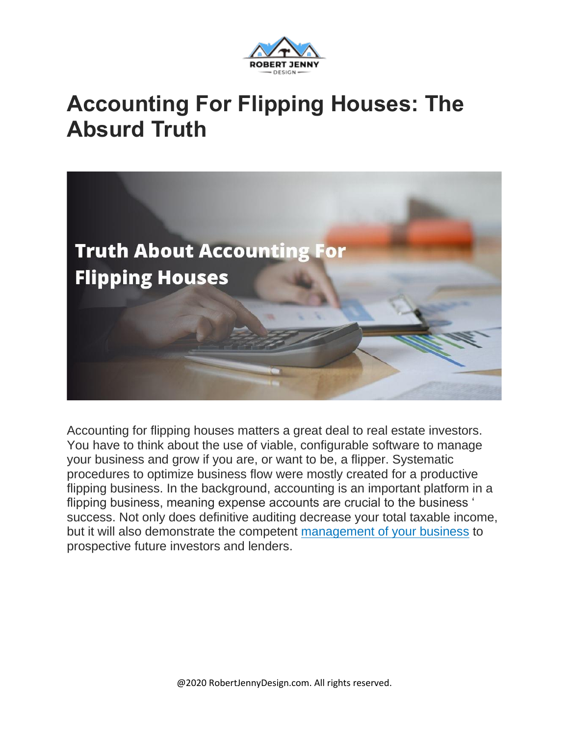

#### **Accounting For Flipping Houses: The Absurd Truth**



Accounting for flipping houses matters a great deal to real estate investors. You have to think about the use of viable, configurable software to manage your business and grow if you are, or want to be, a flipper. Systematic procedures to optimize business flow were mostly created for a productive flipping business. In the background, accounting is an important platform in a flipping business, meaning expense accounts are crucial to the business ' success. Not only does definitive auditing decrease your total taxable income, but it will also demonstrate the competent [management](https://robertjennydesign.com/the-truth-about-funding-for-flipping/) of your business to prospective future investors and lenders.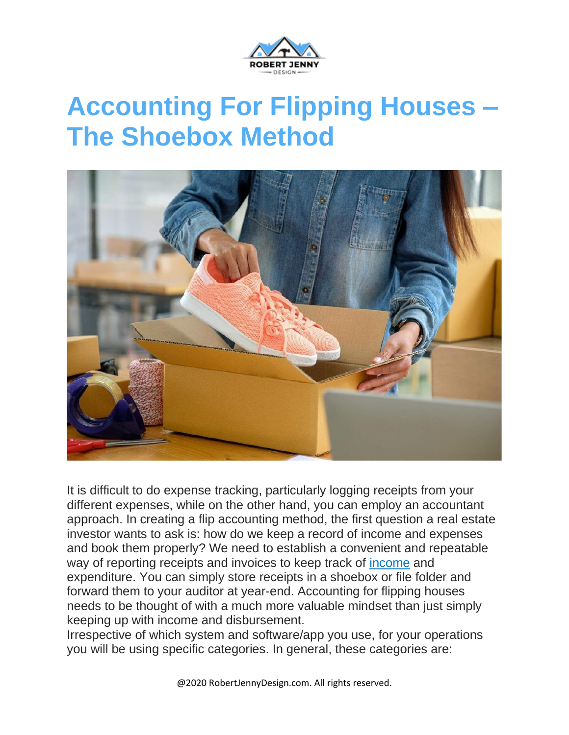

## **Accounting For Flipping Houses – The Shoebox Method**



It is difficult to do expense tracking, particularly logging receipts from your different expenses, while on the other hand, you can employ an accountant approach. In creating a flip accounting method, the first question a real estate investor wants to ask is: how do we keep a record of income and expenses and book them properly? We need to establish a convenient and repeatable way of reporting receipts and invoices to keep track of [income](https://robertjennydesign.com/make-money-flipping-real-estate-contracts/) and expenditure. You can simply store receipts in a shoebox or file folder and forward them to your auditor at year-end. Accounting for flipping houses needs to be thought of with a much more valuable mindset than just simply keeping up with income and disbursement.

Irrespective of which system and software/app you use, for your operations you will be using specific categories. In general, these categories are:

@2020 RobertJennyDesign.com. All rights reserved.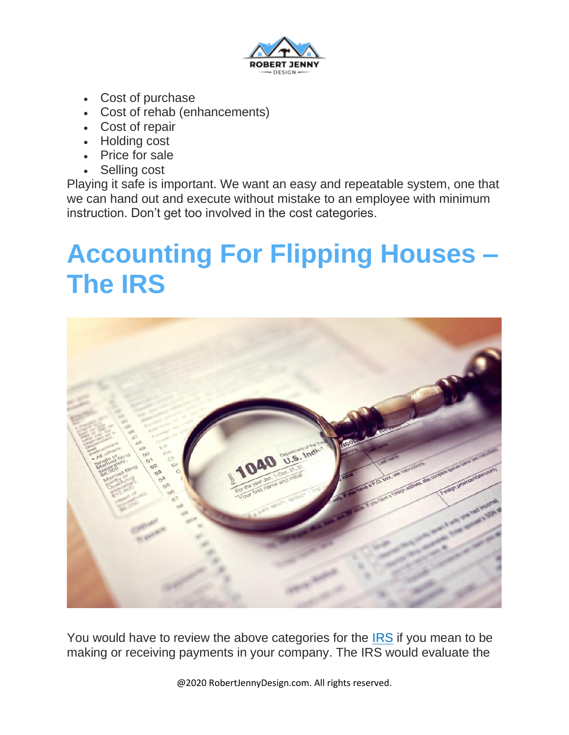

- Cost of purchase
- Cost of rehab (enhancements)
- Cost of repair
- Holding cost
- Price for sale
- Selling cost

Playing it safe is important. We want an easy and repeatable system, one that we can hand out and execute without mistake to an employee with minimum instruction. Don't get too involved in the cost categories.

### **Accounting For Flipping Houses – The IRS**



You would have to review the above categories for the **[IRS](https://en.wikipedia.org/wiki/Internal_Revenue_Service)** if you mean to be making or receiving payments in your company. The IRS would evaluate the

@2020 RobertJennyDesign.com. All rights reserved.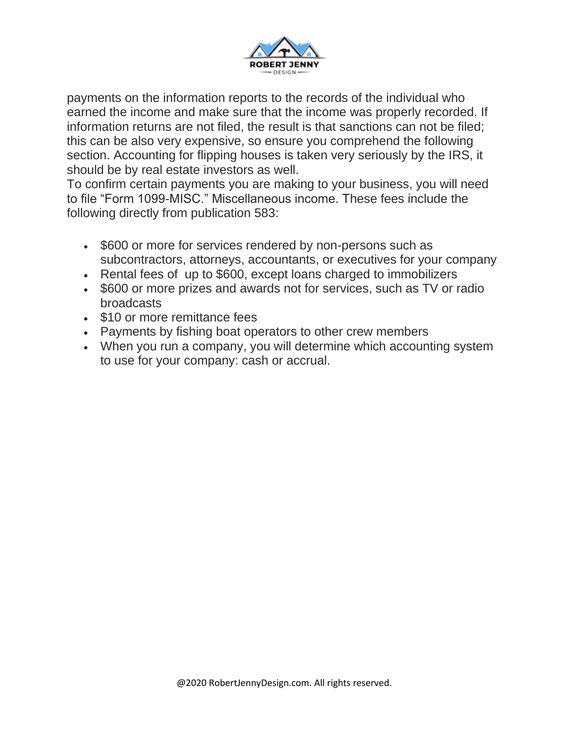

payments on the information reports to the records of the individual who earned the income and make sure that the income was properly recorded. If information returns are not filed, the result is that sanctions can not be filed; this can be also very expensive, so ensure you comprehend the following section. Accounting for flipping houses is taken very seriously by the IRS, it should be by real estate investors as well.

To confirm certain payments you are making to your business, you will need to file "Form 1099-MISC." Miscellaneous income. These fees include the following directly from publication 583:

- \$600 or more for services rendered by non-persons such as subcontractors, attorneys, accountants, or executives for your company
- Rental fees of up to \$600, except loans charged to immobilizers
- \$600 or more prizes and awards not for services, such as TV or radio broadcasts
- \$10 or more remittance fees
- Payments by fishing boat operators to other crew members
- When you run a company, you will determine which accounting system to use for your company: cash or accrual.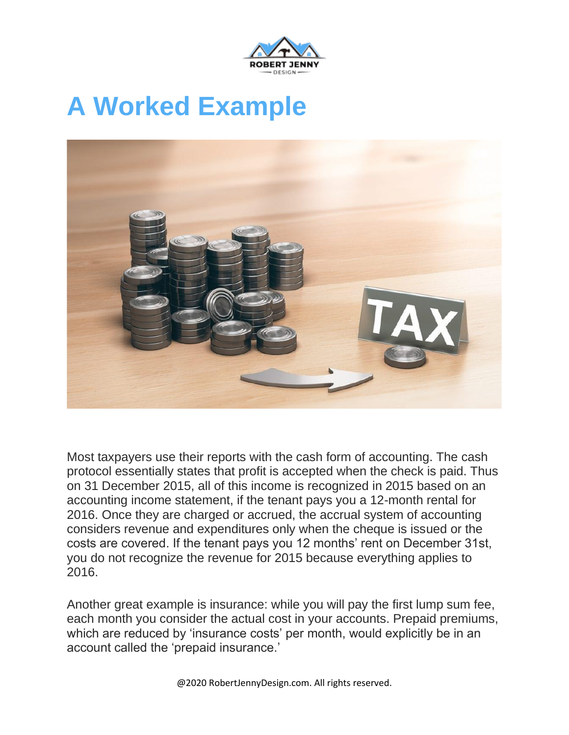

# **A Worked Example**



Most taxpayers use their reports with the cash form of accounting. The cash protocol essentially states that profit is accepted when the check is paid. Thus on 31 December 2015, all of this income is recognized in 2015 based on an accounting income statement, if the tenant pays you a 12-month rental for 2016. Once they are charged or accrued, the accrual system of accounting considers revenue and expenditures only when the cheque is issued or the costs are covered. If the tenant pays you 12 months' rent on December 31st, you do not recognize the revenue for 2015 because everything applies to 2016.

Another great example is insurance: while you will pay the first lump sum fee, each month you consider the actual cost in your accounts. Prepaid premiums, which are reduced by 'insurance costs' per month, would explicitly be in an account called the 'prepaid insurance.'

@2020 RobertJennyDesign.com. All rights reserved.